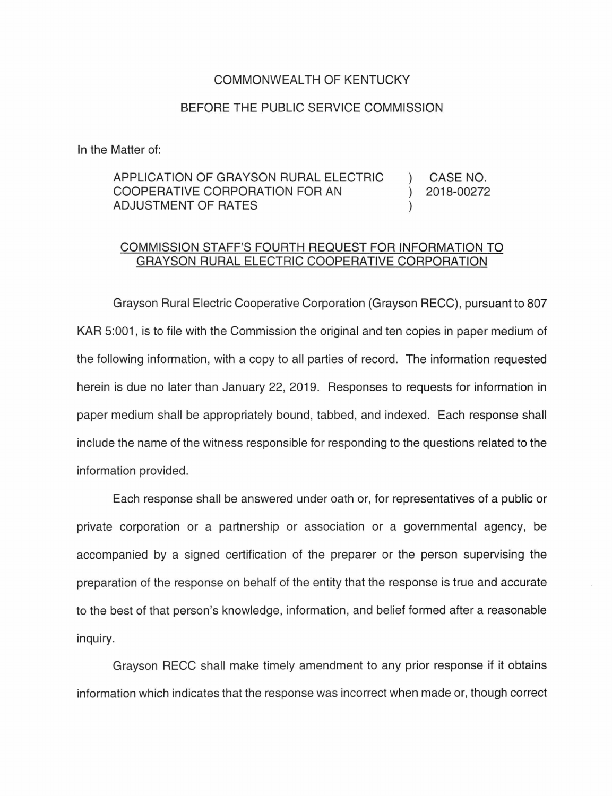## COMMONWEALTH OF KENTUCKY

## BEFORE THE PUBLIC SERVICE COMMISSION

In the Matter of:

## APPLICATION OF GRAYSON RURAL ELECTRIC COOPERATIVE CORPORATION FOR AN ADJUSTMENT OF RATES CASE NO. 2018-00272

## COMMISSION STAFF'S FOURTH REQUEST FOR INFORMATION TO GRAYSON RURAL ELECTRIC COOPERATIVE CORPORATION

Grayson Rural Electric Cooperative Corporation (Grayson RECC), pursuant to 807 KAR 5:001, is to file with the Commission the original and ten copies in paper medium of the following information, with a copy to all parties of record. The information requested herein is due no later than January 22, 2019. Responses to requests for information in paper medium shall be appropriately bound, tabbed, and indexed. Each response shall include the name of the witness responsible for responding to the questions related to the information provided.

Each response shall be answered under oath or, for representatives of a public or private corporation or a partnership or association or a governmental agency, be accompanied by a signed certification of the preparer or the person supervising the preparation of the response on behalf of the entity that the response is true and accurate to the best of that person's knowledge, information, and belief formed after a reasonable inquiry.

Grayson RECC shall make timely amendment to any prior response if it obtains information which indicates that the response was incorrect when made or, though correct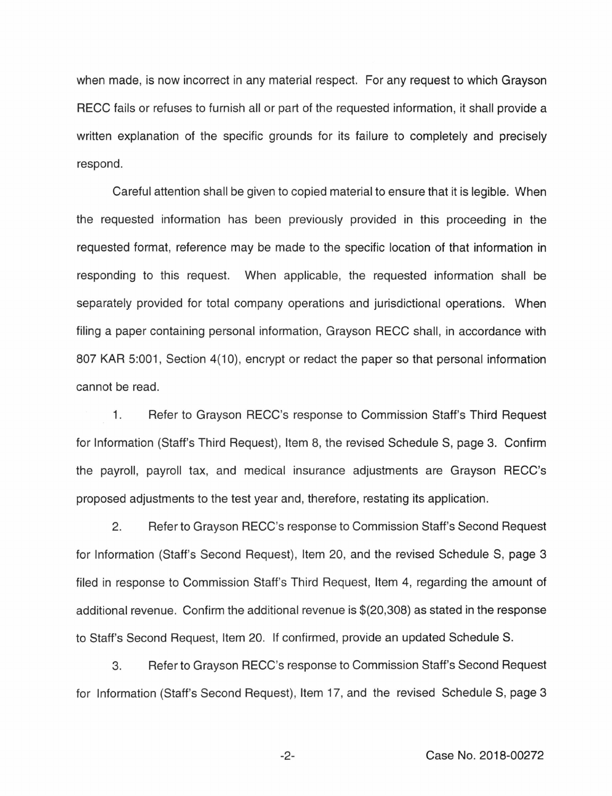when made, is now incorrect in any material respect. For any request to which Grayson RECC fails or refuses to furnish all or part of the requested information, it shall provide a written explanation of the specific grounds for its failure to completely and precisely respond.

Careful attention shall be given to copied material to ensure that it is legible. When the requested information has been previously provided in this proceeding in the requested format, reference may be made to the specific location of that information in responding to this request. When applicable, the requested information shall be separately provided for total company operations and jurisdictional operations. When filing a paper containing personal information, Grayson RECC shall, in accordance with 807 KAR 5:001, Section 4(10), encrypt or redact the paper so that personal information cannot be read.

1. Refer to Grayson RECC's response to Commission Staff's Third Request for Information (Staff's Third Request), Item 8, the revised Schedule S, page 3. Confirm the payroll, payroll tax, and medical insurance adjustments are Grayson RECC's proposed adjustments to the test year and, therefore, restating its application.

2. Refer to Grayson RECC's response to Commission Staff's Second Request for Information (Staff's Second Request), Item 20, and the revised Schedule S, page 3 filed in response to Commission Staff's Third Request, Item 4, regarding the amount of additional revenue. Confirm the additional revenue is \$(20,308) as stated in the response to Staff's Second Request, Item 20. If confirmed, provide an updated Schedule S.

3. Refer to Grayson RECC's response to Commission Staff's Second Request for Information (Staff's Second Request), Item 17, and the revised Schedule S, page 3

-2- Case No. 2018-00272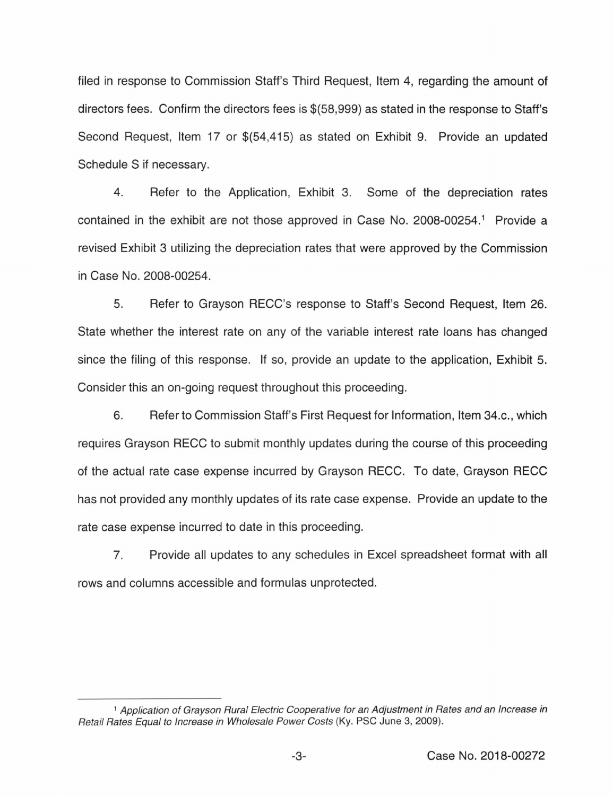filed in response to Commission Staff's Third Request, Item 4, regarding the amount of directors fees. Confirm the directors fees is \$(58,999) as stated in the response to Staff's Second Request, Item 17 or \$(54,415) as stated on Exhibit 9. Provide an updated Schedule S if necessary.

4. Refer to the Application, Exhibit 3. Some of the depreciation rates contained in the exhibit are not those approved in Case No. 2008-00254.<sup>1</sup> Provide a revised Exhibit 3 utilizing the depreciation rates that were approved by the Commission in Case No. 2008-00254.

5. Refer to Grayson RECC's response to Staff's Second Request, Item 26. State whether the interest rate on any of the variable interest rate loans has changed since the filing of this response. If so, provide an update to the application, Exhibit 5. Consider this an on-going request throughout this proceeding.

6. Refer to Commission Staff's First Request for Information, Item 34.c., which requires Grayson RECC to submit monthly updates during the course of this proceeding of the actual rate case expense incurred by Grayson RECC. To date, Grayson RECC has not provided any monthly updates of its rate case expense. Provide an update to the rate case expense incurred to date in this proceeding.

7. Provide all updates to any schedules in Excel spreadsheet format with all rows and columns accessible and formulas unprotected.

<sup>&</sup>lt;sup>1</sup> Application of Grayson Rural Electric Cooperative for an Adjustment in Rates and an Increase in Retail Rates Equal to Increase in Wholesale Power Costs (Ky. PSC June 3, 2009).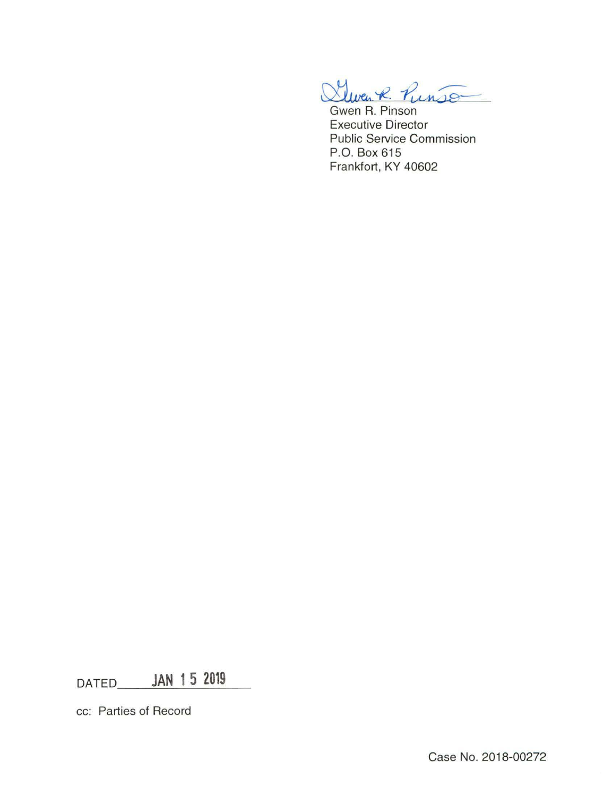$\infty$  $t$  liven R Punson

Gwen R. Pinson Executive Director Public Service Commission P.O. Box 615 Frankfort, KY 40602

DATED **JAN 15 2019** 

cc: Parties of Record